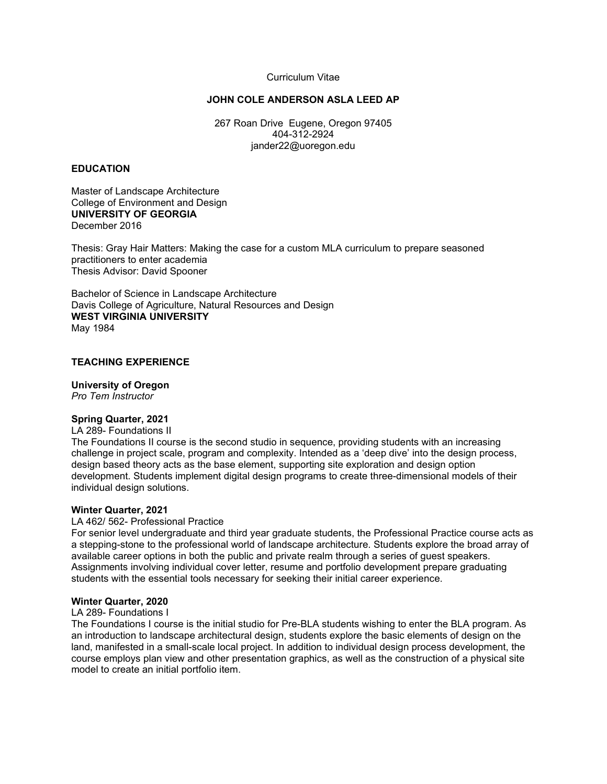# Curriculum Vitae

# **JOHN COLE ANDERSON ASLA LEED AP**

267 Roan Drive Eugene, Oregon 97405 404-312-2924 jander22@uoregon.edu

# **EDUCATION**

Master of Landscape Architecture College of Environment and Design **UNIVERSITY OF GEORGIA** December 2016

Thesis: Gray Hair Matters: Making the case for a custom MLA curriculum to prepare seasoned practitioners to enter academia Thesis Advisor: David Spooner

Bachelor of Science in Landscape Architecture Davis College of Agriculture, Natural Resources and Design **WEST VIRGINIA UNIVERSITY** May 1984

# **TEACHING EXPERIENCE**

## **University of Oregon**

*Pro Tem Instructor*

## **Spring Quarter, 2021**

## LA 289- Foundations II

The Foundations II course is the second studio in sequence, providing students with an increasing challenge in project scale, program and complexity. Intended as a 'deep dive' into the design process, design based theory acts as the base element, supporting site exploration and design option development. Students implement digital design programs to create three-dimensional models of their individual design solutions.

## **Winter Quarter, 2021**

## LA 462/ 562- Professional Practice

For senior level undergraduate and third year graduate students, the Professional Practice course acts as a stepping-stone to the professional world of landscape architecture. Students explore the broad array of available career options in both the public and private realm through a series of guest speakers. Assignments involving individual cover letter, resume and portfolio development prepare graduating students with the essential tools necessary for seeking their initial career experience.

## **Winter Quarter, 2020**

## LA 289- Foundations I

The Foundations I course is the initial studio for Pre-BLA students wishing to enter the BLA program. As an introduction to landscape architectural design, students explore the basic elements of design on the land, manifested in a small-scale local project. In addition to individual design process development, the course employs plan view and other presentation graphics, as well as the construction of a physical site model to create an initial portfolio item.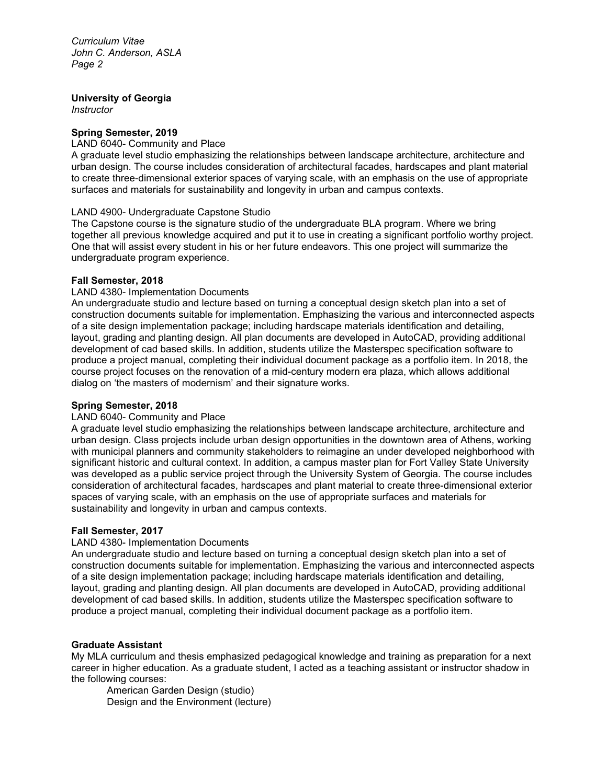# **University of Georgia**

*Instructor*

# **Spring Semester, 2019**

## LAND 6040- Community and Place

A graduate level studio emphasizing the relationships between landscape architecture, architecture and urban design. The course includes consideration of architectural facades, hardscapes and plant material to create three-dimensional exterior spaces of varying scale, with an emphasis on the use of appropriate surfaces and materials for sustainability and longevity in urban and campus contexts.

# LAND 4900- Undergraduate Capstone Studio

The Capstone course is the signature studio of the undergraduate BLA program. Where we bring together all previous knowledge acquired and put it to use in creating a significant portfolio worthy project. One that will assist every student in his or her future endeavors. This one project will summarize the undergraduate program experience.

# **Fall Semester, 2018**

# LAND 4380- Implementation Documents

An undergraduate studio and lecture based on turning a conceptual design sketch plan into a set of construction documents suitable for implementation. Emphasizing the various and interconnected aspects of a site design implementation package; including hardscape materials identification and detailing, layout, grading and planting design. All plan documents are developed in AutoCAD, providing additional development of cad based skills. In addition, students utilize the Masterspec specification software to produce a project manual, completing their individual document package as a portfolio item. In 2018, the course project focuses on the renovation of a mid-century modern era plaza, which allows additional dialog on 'the masters of modernism' and their signature works.

# **Spring Semester, 2018**

## LAND 6040- Community and Place

A graduate level studio emphasizing the relationships between landscape architecture, architecture and urban design. Class projects include urban design opportunities in the downtown area of Athens, working with municipal planners and community stakeholders to reimagine an under developed neighborhood with significant historic and cultural context. In addition, a campus master plan for Fort Valley State University was developed as a public service project through the University System of Georgia. The course includes consideration of architectural facades, hardscapes and plant material to create three-dimensional exterior spaces of varying scale, with an emphasis on the use of appropriate surfaces and materials for sustainability and longevity in urban and campus contexts.

## **Fall Semester, 2017**

# LAND 4380- Implementation Documents

An undergraduate studio and lecture based on turning a conceptual design sketch plan into a set of construction documents suitable for implementation. Emphasizing the various and interconnected aspects of a site design implementation package; including hardscape materials identification and detailing, layout, grading and planting design. All plan documents are developed in AutoCAD, providing additional development of cad based skills. In addition, students utilize the Masterspec specification software to produce a project manual, completing their individual document package as a portfolio item.

# **Graduate Assistant**

My MLA curriculum and thesis emphasized pedagogical knowledge and training as preparation for a next career in higher education. As a graduate student, I acted as a teaching assistant or instructor shadow in the following courses:

American Garden Design (studio) Design and the Environment (lecture)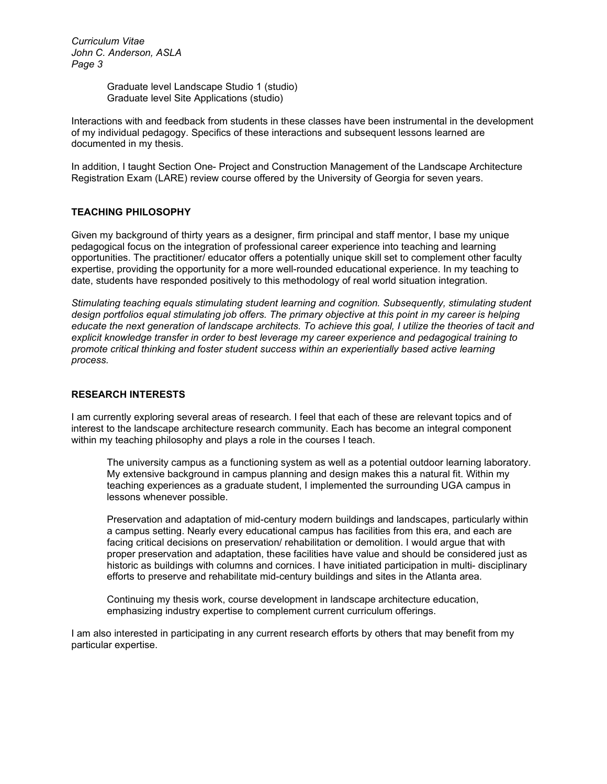> Graduate level Landscape Studio 1 (studio) Graduate level Site Applications (studio)

Interactions with and feedback from students in these classes have been instrumental in the development of my individual pedagogy. Specifics of these interactions and subsequent lessons learned are documented in my thesis.

In addition, I taught Section One- Project and Construction Management of the Landscape Architecture Registration Exam (LARE) review course offered by the University of Georgia for seven years.

# **TEACHING PHILOSOPHY**

Given my background of thirty years as a designer, firm principal and staff mentor, I base my unique pedagogical focus on the integration of professional career experience into teaching and learning opportunities. The practitioner/ educator offers a potentially unique skill set to complement other faculty expertise, providing the opportunity for a more well-rounded educational experience. In my teaching to date, students have responded positively to this methodology of real world situation integration.

*Stimulating teaching equals stimulating student learning and cognition. Subsequently, stimulating student design portfolios equal stimulating job offers. The primary objective at this point in my career is helping educate the next generation of landscape architects. To achieve this goal, I utilize the theories of tacit and explicit knowledge transfer in order to best leverage my career experience and pedagogical training to promote critical thinking and foster student success within an experientially based active learning process.*

# **RESEARCH INTERESTS**

I am currently exploring several areas of research. I feel that each of these are relevant topics and of interest to the landscape architecture research community. Each has become an integral component within my teaching philosophy and plays a role in the courses I teach.

The university campus as a functioning system as well as a potential outdoor learning laboratory. My extensive background in campus planning and design makes this a natural fit. Within my teaching experiences as a graduate student, I implemented the surrounding UGA campus in lessons whenever possible.

Preservation and adaptation of mid-century modern buildings and landscapes, particularly within a campus setting. Nearly every educational campus has facilities from this era, and each are facing critical decisions on preservation/ rehabilitation or demolition. I would argue that with proper preservation and adaptation, these facilities have value and should be considered just as historic as buildings with columns and cornices. I have initiated participation in multi- disciplinary efforts to preserve and rehabilitate mid-century buildings and sites in the Atlanta area.

Continuing my thesis work, course development in landscape architecture education, emphasizing industry expertise to complement current curriculum offerings.

I am also interested in participating in any current research efforts by others that may benefit from my particular expertise.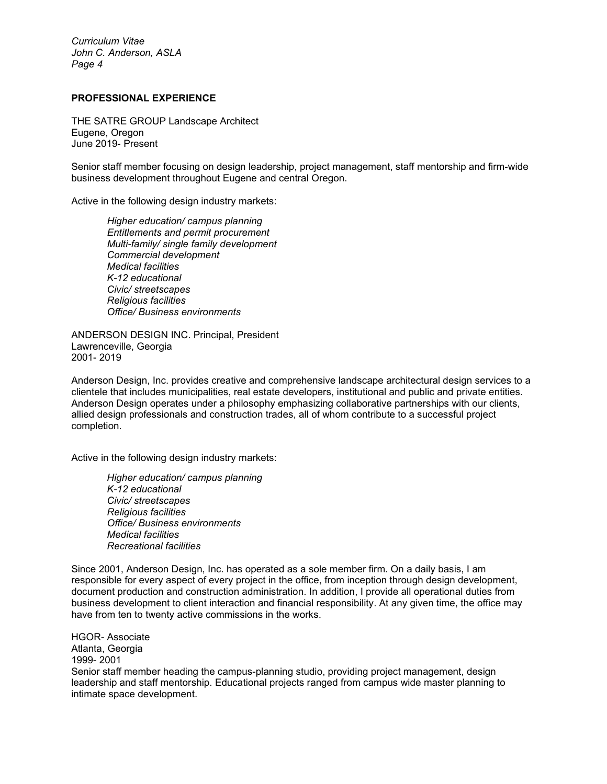# **PROFESSIONAL EXPERIENCE**

THE SATRE GROUP Landscape Architect Eugene, Oregon June 2019- Present

Senior staff member focusing on design leadership, project management, staff mentorship and firm-wide business development throughout Eugene and central Oregon.

Active in the following design industry markets:

*Higher education/ campus planning Entitlements and permit procurement Multi-family/ single family development Commercial development Medical facilities K-12 educational Civic/ streetscapes Religious facilities Office/ Business environments*

ANDERSON DESIGN INC. Principal, President Lawrenceville, Georgia 2001- 2019

Anderson Design, Inc. provides creative and comprehensive landscape architectural design services to a clientele that includes municipalities, real estate developers, institutional and public and private entities. Anderson Design operates under a philosophy emphasizing collaborative partnerships with our clients, allied design professionals and construction trades, all of whom contribute to a successful project completion.

Active in the following design industry markets:

*Higher education/ campus planning K-12 educational Civic/ streetscapes Religious facilities Office/ Business environments Medical facilities Recreational facilities*

Since 2001, Anderson Design, Inc. has operated as a sole member firm. On a daily basis, I am responsible for every aspect of every project in the office, from inception through design development, document production and construction administration. In addition, I provide all operational duties from business development to client interaction and financial responsibility. At any given time, the office may have from ten to twenty active commissions in the works.

HGOR- Associate Atlanta, Georgia 1999- 2001 Senior staff member heading the campus-planning studio, providing project management, design leadership and staff mentorship. Educational projects ranged from campus wide master planning to intimate space development.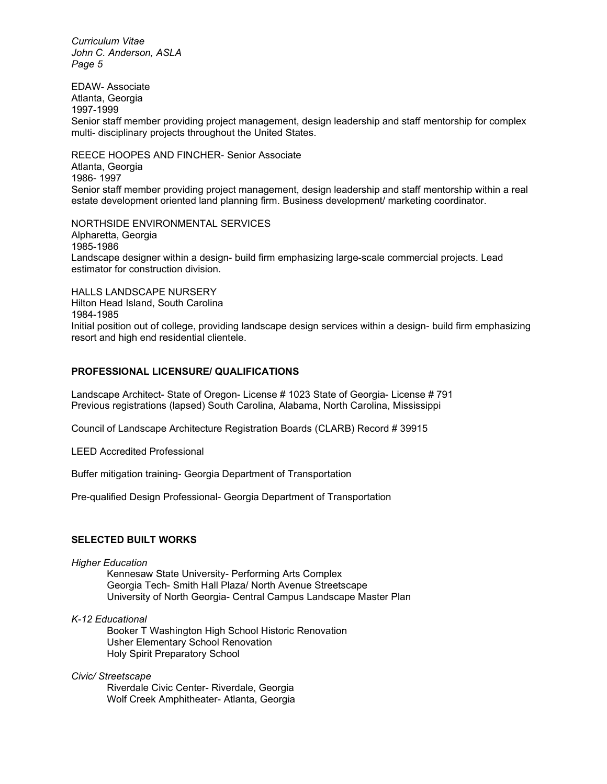EDAW- Associate Atlanta, Georgia 1997-1999 Senior staff member providing project management, design leadership and staff mentorship for complex multi- disciplinary projects throughout the United States.

REECE HOOPES AND FINCHER- Senior Associate Atlanta, Georgia 1986- 1997 Senior staff member providing project management, design leadership and staff mentorship within a real estate development oriented land planning firm. Business development/ marketing coordinator.

NORTHSIDE ENVIRONMENTAL SERVICES Alpharetta, Georgia 1985-1986 Landscape designer within a design- build firm emphasizing large-scale commercial projects. Lead estimator for construction division.

HALLS LANDSCAPE NURSERY Hilton Head Island, South Carolina 1984-1985 Initial position out of college, providing landscape design services within a design- build firm emphasizing resort and high end residential clientele.

# **PROFESSIONAL LICENSURE/ QUALIFICATIONS**

Landscape Architect- State of Oregon- License # 1023 State of Georgia- License # 791 Previous registrations (lapsed) South Carolina, Alabama, North Carolina, Mississippi

Council of Landscape Architecture Registration Boards (CLARB) Record # 39915

LEED Accredited Professional

Buffer mitigation training- Georgia Department of Transportation

Pre-qualified Design Professional- Georgia Department of Transportation

# **SELECTED BUILT WORKS**

#### *Higher Education*

Kennesaw State University- Performing Arts Complex Georgia Tech- Smith Hall Plaza/ North Avenue Streetscape University of North Georgia- Central Campus Landscape Master Plan

## *K-12 Educational*

Booker T Washington High School Historic Renovation Usher Elementary School Renovation Holy Spirit Preparatory School

# *Civic/ Streetscape*

Riverdale Civic Center- Riverdale, Georgia Wolf Creek Amphitheater- Atlanta, Georgia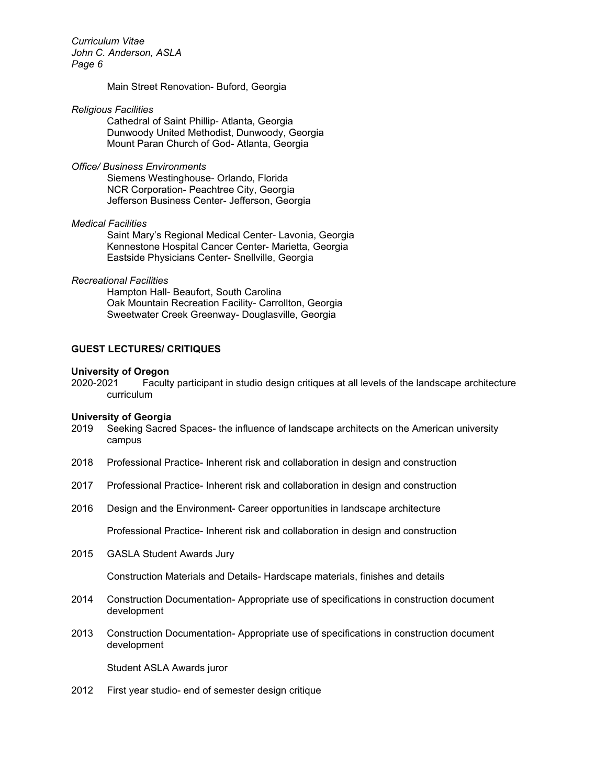## Main Street Renovation- Buford, Georgia

## *Religious Facilities*

Cathedral of Saint Phillip- Atlanta, Georgia Dunwoody United Methodist, Dunwoody, Georgia Mount Paran Church of God- Atlanta, Georgia

## *Office/ Business Environments*

Siemens Westinghouse- Orlando, Florida NCR Corporation- Peachtree City, Georgia Jefferson Business Center- Jefferson, Georgia

# *Medical Facilities*

Saint Mary's Regional Medical Center- Lavonia, Georgia Kennestone Hospital Cancer Center- Marietta, Georgia Eastside Physicians Center- Snellville, Georgia

## *Recreational Facilities*

Hampton Hall- Beaufort, South Carolina Oak Mountain Recreation Facility- Carrollton, Georgia Sweetwater Creek Greenway- Douglasville, Georgia

# **GUEST LECTURES/ CRITIQUES**

# **University of Oregon**

Faculty participant in studio design critiques at all levels of the landscape architecture curriculum

#### **University of Georgia**

- 2019 Seeking Sacred Spaces- the influence of landscape architects on the American university campus
- 2018 Professional Practice- Inherent risk and collaboration in design and construction
- 2017 Professional Practice- Inherent risk and collaboration in design and construction
- 2016 Design and the Environment- Career opportunities in landscape architecture

Professional Practice- Inherent risk and collaboration in design and construction

2015 GASLA Student Awards Jury

Construction Materials and Details- Hardscape materials, finishes and details

- 2014 Construction Documentation- Appropriate use of specifications in construction document development
- 2013 Construction Documentation- Appropriate use of specifications in construction document development

Student ASLA Awards juror

2012 First year studio- end of semester design critique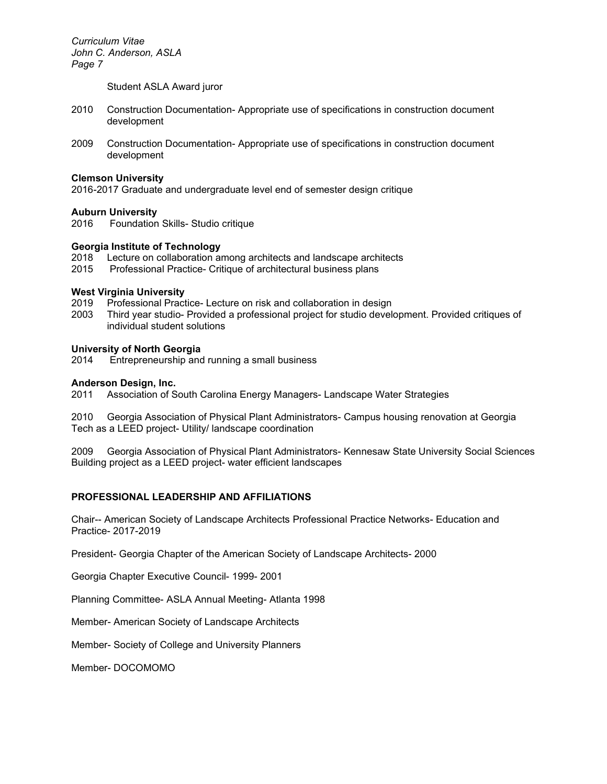Student ASLA Award juror

- 2010 Construction Documentation- Appropriate use of specifications in construction document development
- 2009 Construction Documentation- Appropriate use of specifications in construction document development

## **Clemson University**

2016*-*2017 Graduate and undergraduate level end of semester design critique

## **Auburn University**

2016 Foundation Skills- Studio critique

# **Georgia Institute of Technology**

2018 Lecture on collaboration among architects and landscape architects

2015 Professional Practice- Critique of architectural business plans

#### **West Virginia University**

- 2019 Professional Practice- Lecture on risk and collaboration in design
- 2003 Third year studio- Provided a professional project for studio development. Provided critiques of individual student solutions

## **University of North Georgia**

2014 Entrepreneurship and running a small business

#### **Anderson Design, Inc.**

2011 Association of South Carolina Energy Managers- Landscape Water Strategies

2010 Georgia Association of Physical Plant Administrators- Campus housing renovation at Georgia Tech as a LEED project- Utility/ landscape coordination

2009 Georgia Association of Physical Plant Administrators- Kennesaw State University Social Sciences Building project as a LEED project- water efficient landscapes

## **PROFESSIONAL LEADERSHIP AND AFFILIATIONS**

Chair-- American Society of Landscape Architects Professional Practice Networks- Education and Practice- 2017-2019

President- Georgia Chapter of the American Society of Landscape Architects- 2000

Georgia Chapter Executive Council- 1999- 2001

Planning Committee- ASLA Annual Meeting- Atlanta 1998

Member- American Society of Landscape Architects

Member- Society of College and University Planners

Member- DOCOMOMO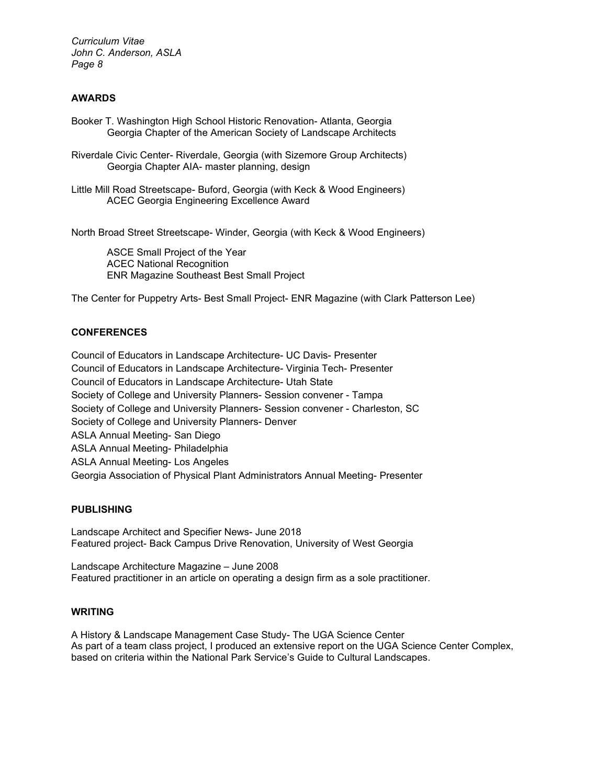# **AWARDS**

- Booker T. Washington High School Historic Renovation- Atlanta, Georgia Georgia Chapter of the American Society of Landscape Architects
- Riverdale Civic Center- Riverdale, Georgia (with Sizemore Group Architects) Georgia Chapter AIA- master planning, design
- Little Mill Road Streetscape- Buford, Georgia (with Keck & Wood Engineers) ACEC Georgia Engineering Excellence Award

North Broad Street Streetscape- Winder, Georgia (with Keck & Wood Engineers)

ASCE Small Project of the Year ACEC National Recognition ENR Magazine Southeast Best Small Project

The Center for Puppetry Arts- Best Small Project- ENR Magazine (with Clark Patterson Lee)

# **CONFERENCES**

Council of Educators in Landscape Architecture- UC Davis- Presenter Council of Educators in Landscape Architecture- Virginia Tech- Presenter Council of Educators in Landscape Architecture- Utah State Society of College and University Planners- Session convener - Tampa Society of College and University Planners- Session convener - Charleston, SC Society of College and University Planners- Denver ASLA Annual Meeting- San Diego ASLA Annual Meeting- Philadelphia ASLA Annual Meeting- Los Angeles Georgia Association of Physical Plant Administrators Annual Meeting- Presenter

# **PUBLISHING**

Landscape Architect and Specifier News- June 2018 Featured project- Back Campus Drive Renovation, University of West Georgia

Landscape Architecture Magazine – June 2008 Featured practitioner in an article on operating a design firm as a sole practitioner.

# **WRITING**

A History & Landscape Management Case Study- The UGA Science Center As part of a team class project, I produced an extensive report on the UGA Science Center Complex, based on criteria within the National Park Service's Guide to Cultural Landscapes.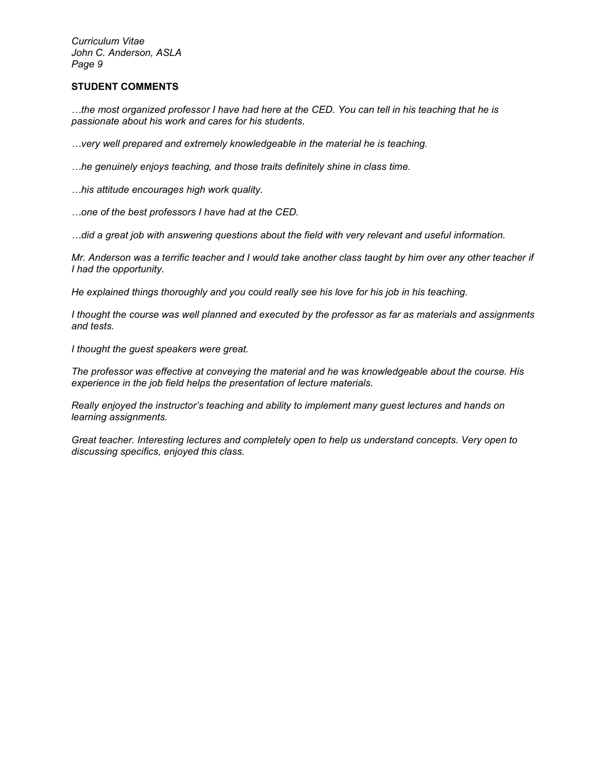# **STUDENT COMMENTS**

*…the most organized professor I have had here at the CED. You can tell in his teaching that he is passionate about his work and cares for his students.*

*…very well prepared and extremely knowledgeable in the material he is teaching.*

*…he genuinely enjoys teaching, and those traits definitely shine in class time.*

*…his attitude encourages high work quality.*

*…one of the best professors I have had at the CED.*

*…did a great job with answering questions about the field with very relevant and useful information.*

*Mr. Anderson was a terrific teacher and I would take another class taught by him over any other teacher if I had the opportunity.*

*He explained things thoroughly and you could really see his love for his job in his teaching.*

*I thought the course was well planned and executed by the professor as far as materials and assignments and tests.*

*I thought the guest speakers were great.*

*The professor was effective at conveying the material and he was knowledgeable about the course. His experience in the job field helps the presentation of lecture materials.*

*Really enjoyed the instructor's teaching and ability to implement many guest lectures and hands on learning assignments.*

*Great teacher. Interesting lectures and completely open to help us understand concepts. Very open to discussing specifics, enjoyed this class.*